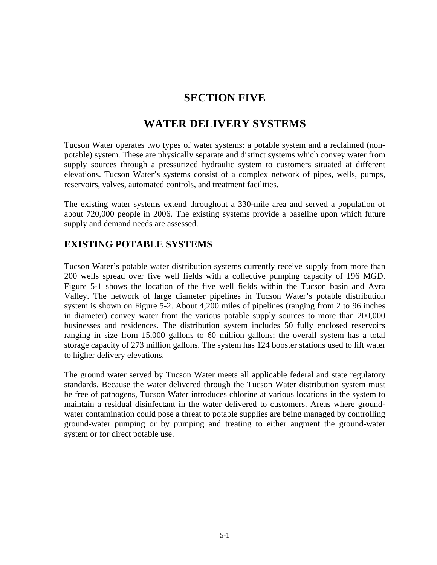# **SECTION FIVE**

## **WATER DELIVERY SYSTEMS**

Tucson Water operates two types of water systems: a potable system and a reclaimed (nonpotable) system. These are physically separate and distinct systems which convey water from supply sources through a pressurized hydraulic system to customers situated at different elevations. Tucson Water's systems consist of a complex network of pipes, wells, pumps, reservoirs, valves, automated controls, and treatment facilities.

The existing water systems extend throughout a 330-mile area and served a population of about 720,000 people in 2006. The existing systems provide a baseline upon which future supply and demand needs are assessed.

### **EXISTING POTABLE SYSTEMS**

Tucson Water's potable water distribution systems currently receive supply from more than 200 wells spread over five well fields with a collective pumping capacity of 196 MGD. Figure 5-1 shows the location of the five well fields within the Tucson basin and Avra Valley. The network of large diameter pipelines in Tucson Water's potable distribution system is shown on Figure 5-2. About 4,200 miles of pipelines (ranging from 2 to 96 inches in diameter) convey water from the various potable supply sources to more than 200,000 businesses and residences. The distribution system includes 50 fully enclosed reservoirs ranging in size from 15,000 gallons to 60 million gallons; the overall system has a total storage capacity of 273 million gallons. The system has 124 booster stations used to lift water to higher delivery elevations.

The ground water served by Tucson Water meets all applicable federal and state regulatory standards. Because the water delivered through the Tucson Water distribution system must be free of pathogens, Tucson Water introduces chlorine at various locations in the system to maintain a residual disinfectant in the water delivered to customers. Areas where groundwater contamination could pose a threat to potable supplies are being managed by controlling ground-water pumping or by pumping and treating to either augment the ground-water system or for direct potable use.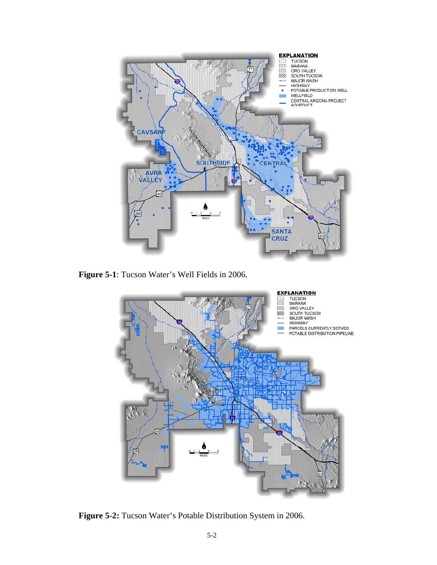

**Figure 5-1**: Tucson Water's Well Fields in 2006.



**Figure 5-2:** Tucson Water's Potable Distribution System in 2006.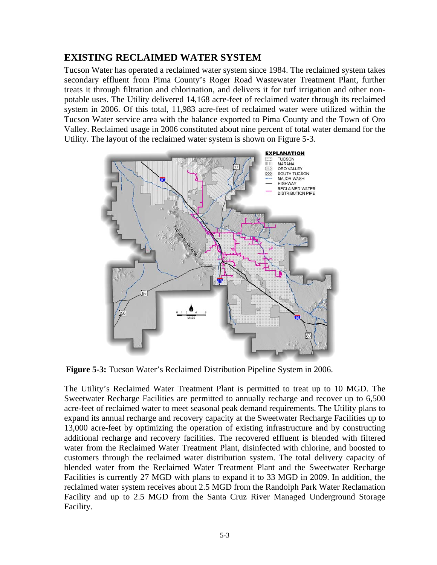#### **EXISTING RECLAIMED WATER SYSTEM**

Tucson Water has operated a reclaimed water system since 1984. The reclaimed system takes secondary effluent from Pima County's Roger Road Wastewater Treatment Plant, further treats it through filtration and chlorination, and delivers it for turf irrigation and other nonpotable uses. The Utility delivered 14,168 acre-feet of reclaimed water through its reclaimed system in 2006. Of this total, 11,983 acre-feet of reclaimed water were utilized within the Tucson Water service area with the balance exported to Pima County and the Town of Oro Valley. Reclaimed usage in 2006 constituted about nine percent of total water demand for the Utility. The layout of the reclaimed water system is shown on Figure 5-3.



**Figure 5-3:** Tucson Water's Reclaimed Distribution Pipeline System in 2006.

The Utility's Reclaimed Water Treatment Plant is permitted to treat up to 10 MGD. The Sweetwater Recharge Facilities are permitted to annually recharge and recover up to 6,500 acre-feet of reclaimed water to meet seasonal peak demand requirements. The Utility plans to expand its annual recharge and recovery capacity at the Sweetwater Recharge Facilities up to 13,000 acre-feet by optimizing the operation of existing infrastructure and by constructing additional recharge and recovery facilities. The recovered effluent is blended with filtered water from the Reclaimed Water Treatment Plant, disinfected with chlorine, and boosted to customers through the reclaimed water distribution system. The total delivery capacity of blended water from the Reclaimed Water Treatment Plant and the Sweetwater Recharge Facilities is currently 27 MGD with plans to expand it to 33 MGD in 2009. In addition, the reclaimed water system receives about 2.5 MGD from the Randolph Park Water Reclamation Facility and up to 2.5 MGD from the Santa Cruz River Managed Underground Storage Facility.